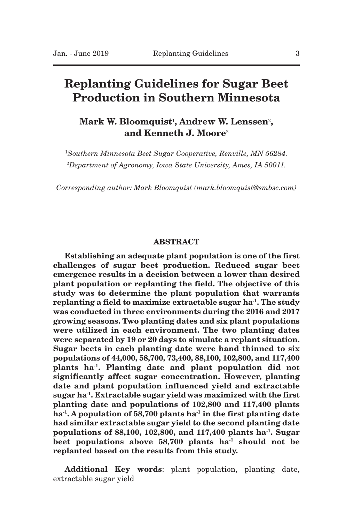# **Replanting Guidelines for Sugar Beet Production in Southern Minnesota**

# **Mark W. Bloomquist**1**, Andrew W. Lenssen**2**, and Kenneth J. Moore**<sup>2</sup>

<sup>1</sup>*Southern Minnesota Beet Sugar Cooperative, Renville, MN 56284.* <sup>2</sup>*Department of Agronomy, Iowa State University, Ames, IA 50011.*

*Corresponding author: Mark Bloomquist (mark.bloomquist@smbsc.com)*

# **ABSTRACT**

**Establishing an adequate plant population is one of the first challenges of sugar beet production. Reduced sugar beet emergence results in a decision between a lower than desired plant population or replanting the field. The objective of this study was to determine the plant population that warrants replanting a field to maximize extractable sugar ha-1. The study was conducted in three environments during the 2016 and 2017 growing seasons. Two planting dates and six plant populations were utilized in each environment. The two planting dates were separated by 19 or 20 days to simulate a replant situation. Sugar beets in each planting date were hand thinned to six populations of 44,000, 58,700, 73,400, 88,100, 102,800, and 117,400 plants ha-1. Planting date and plant population did not significantly affect sugar concentration. However, planting date and plant population influenced yield and extractable sugar ha-1. Extractable sugar yieldwas maximized with the first planting date and populations of 102,800 and 117,400 plants ha-1. A population of 58,700 plants ha-1 in the first planting date had similar extractable sugar yield to the second planting date populations of 88,100, 102,800, and 117,400 plants ha-1. Sugar beet populations above 58,700 plants ha-1 should not be replanted based on the results from this study.**

**Additional Key words**: plant population, planting date, extractable sugar yield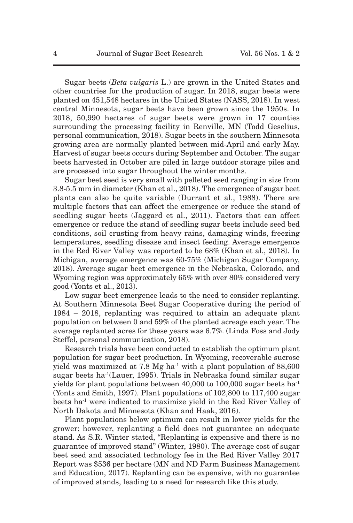Sugar beets (*Beta vulgaris* L.) are grown in the United States and other countries for the production of sugar. In 2018, sugar beets were planted on 451,548 hectares in the United States (NASS, 2018). In west central Minnesota, sugar beets have been grown since the 1950s. In 2018, 50,990 hectares of sugar beets were grown in 17 counties surrounding the processing facility in Renville, MN (Todd Geselius, personal communication, 2018). Sugar beets in the southern Minnesota growing area are normally planted between mid-April and early May. Harvest of sugar beets occurs during September and October. The sugar beets harvested in October are piled in large outdoor storage piles and are processed into sugar throughout the winter months.

Sugar beet seed is very small with pelleted seed ranging in size from 3.8-5.5 mm in diameter (Khan et al., 2018). The emergence of sugar beet plants can also be quite variable (Durrant et al., 1988). There are multiple factors that can affect the emergence or reduce the stand of seedling sugar beets (Jaggard et al., 2011). Factors that can affect emergence or reduce the stand of seedling sugar beets include seed bed conditions, soil crusting from heavy rains, damaging winds, freezing temperatures, seedling disease and insect feeding. Average emergence in the Red River Valley was reported to be 68% (Khan et al., 2018). In Michigan, average emergence was 60-75% (Michigan Sugar Company, 2018). Average sugar beet emergence in the Nebraska, Colorado, and Wyoming region was approximately 65% with over 80% considered very good (Yonts et al., 2013).

Low sugar beet emergence leads to the need to consider replanting. At Southern Minnesota Beet Sugar Cooperative during the period of 1984 – 2018, replanting was required to attain an adequate plant population on between 0 and 59% of the planted acreage each year. The average replanted acres for these years was 6.7%. (Linda Foss and Jody Steffel, personal communication, 2018).

Research trials have been conducted to establish the optimum plant population for sugar beet production. In Wyoming, recoverable sucrose yield was maximized at 7.8 Mg ha<sup>-1</sup> with a plant population of  $88,600$ sugar beets ha-1(Lauer, 1995). Trials in Nebraska found similar sugar yields for plant populations between  $40,000$  to  $100,000$  sugar beets ha<sup>-1</sup> (Yonts and Smith, 1997). Plant populations of 102,800 to 117,400 sugar beets ha-1 were indicated to maximize yield in the Red River Valley of North Dakota and Minnesota (Khan and Haak, 2016).

Plant populations below optimum can result in lower yields for the grower; however, replanting a field does not guarantee an adequate stand. As S.R. Winter stated, "Replanting is expensive and there is no guarantee of improved stand" (Winter, 1980). The average cost of sugar beet seed and associated technology fee in the Red River Valley 2017 Report was \$536 per hectare (MN and ND Farm Business Management and Education, 2017). Replanting can be expensive, with no guarantee of improved stands, leading to a need for research like this study.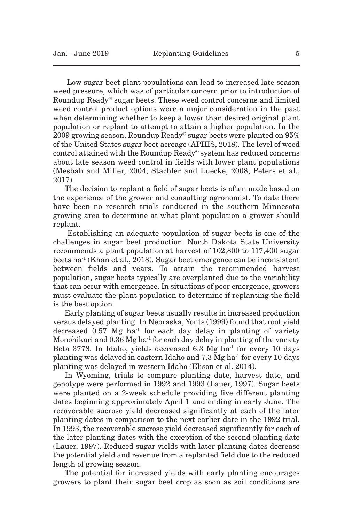Low sugar beet plant populations can lead to increased late season weed pressure, which was of particular concern prior to introduction of Roundup Ready® sugar beets. These weed control concerns and limited weed control product options were a major consideration in the past when determining whether to keep a lower than desired original plant population or replant to attempt to attain a higher population. In the 2009 growing season, Roundup Ready® sugar beets were planted on  $95\%$ of the United States sugar beet acreage (APHIS, 2018). The level of weed control attained with the Roundup Ready® system has reduced concerns about late season weed control in fields with lower plant populations (Mesbah and Miller, 2004; Stachler and Luecke, 2008; Peters et al., 2017).

The decision to replant a field of sugar beets is often made based on the experience of the grower and consulting agronomist. To date there have been no research trials conducted in the southern Minnesota growing area to determine at what plant population a grower should replant.

Establishing an adequate population of sugar beets is one of the challenges in sugar beet production. North Dakota State University recommends a plant population at harvest of 102,800 to 117,400 sugar beets ha<sup>-1</sup> (Khan et al., 2018). Sugar beet emergence can be inconsistent between fields and years. To attain the recommended harvest population, sugar beets typically are overplanted due to the variability that can occur with emergence. In situations of poor emergence, growers must evaluate the plant population to determine if replanting the field is the best option.

Early planting of sugar beets usually results in increased production versus delayed planting. In Nebraska, Yonts (1999) found that root yield decreased  $0.57$  Mg ha<sup>-1</sup> for each day delay in planting of variety Monohikari and  $0.36$  Mg ha<sup>-1</sup> for each day delay in planting of the variety Beta 3778. In Idaho, yields decreased 6.3 Mg ha-1 for every 10 days planting was delayed in eastern Idaho and  $7.3$  Mg ha<sup>-1</sup> for every 10 days planting was delayed in western Idaho (Elison et al. 2014).

In Wyoming, trials to compare planting date, harvest date, and genotype were performed in 1992 and 1993 (Lauer, 1997). Sugar beets were planted on a 2-week schedule providing five different planting dates beginning approximately April 1 and ending in early June. The recoverable sucrose yield decreased significantly at each of the later planting dates in comparison to the next earlier date in the 1992 trial. In 1993, the recoverable sucrose yield decreased significantly for each of the later planting dates with the exception of the second planting date (Lauer, 1997). Reduced sugar yields with later planting dates decrease the potential yield and revenue from a replanted field due to the reduced length of growing season.

The potential for increased yields with early planting encourages growers to plant their sugar beet crop as soon as soil conditions are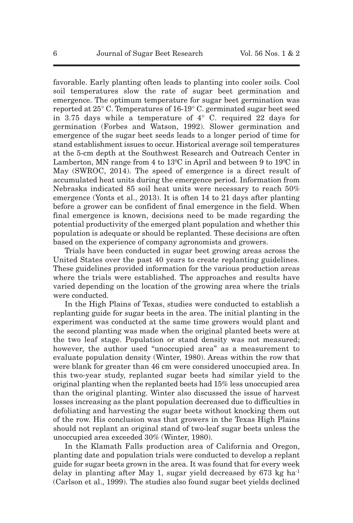favorable. Early planting often leads to planting into cooler soils. Cool soil temperatures slow the rate of sugar beet germination and emergence. The optimum temperature for sugar beet germination was reported at 25° C. Temperatures of 16-19° C. germinated sugar beet seed in 3.75 days while a temperature of  $4^{\circ}$  C. required 22 days for germination (Forbes and Watson, 1992). Slower germination and emergence of the sugar beet seeds leads to a longer period of time for stand establishment issues to occur. Historical average soil temperatures at the 5-cm depth at the Southwest Research and Outreach Center in Lamberton, MN range from 4 to 13ºC in April and between 9 to 19ºC in May (SWROC, 2014). The speed of emergence is a direct result of accumulated heat units during the emergence period. Information from Nebraska indicated 85 soil heat units were necessary to reach 50% emergence (Yonts et al., 2013). It is often 14 to 21 days after planting before a grower can be confident of final emergence in the field. When final emergence is known, decisions need to be made regarding the potential productivity of the emerged plant population and whether this population is adequate or should be replanted. These decisions are often based on the experience of company agronomists and growers.

Trials have been conducted in sugar beet growing areas across the United States over the past 40 years to create replanting guidelines. These guidelines provided information for the various production areas where the trials were established. The approaches and results have varied depending on the location of the growing area where the trials were conducted.

In the High Plains of Texas, studies were conducted to establish a replanting guide for sugar beets in the area. The initial planting in the experiment was conducted at the same time growers would plant and the second planting was made when the original planted beets were at the two leaf stage. Population or stand density was not measured; however, the author used "unoccupied area" as a measurement to evaluate population density (Winter, 1980). Areas within the row that were blank for greater than 46 cm were considered unoccupied area. In this two-year study, replanted sugar beets had similar yield to the original planting when the replanted beets had 15% less unoccupied area than the original planting. Winter also discussed the issue of harvest losses increasing as the plant population decreased due to difficulties in defoliating and harvesting the sugar beets without knocking them out of the row. His conclusion was that growers in the Texas High Plains should not replant an original stand of two-leaf sugar beets unless the unoccupied area exceeded 30% (Winter, 1980).

In the Klamath Falls production area of California and Oregon, planting date and population trials were conducted to develop a replant guide for sugar beets grown in the area. It was found that for every week delay in planting after May 1, sugar yield decreased by  $673 \text{ kg}$  ha<sup>-1</sup> (Carlson et al., 1999). The studies also found sugar beet yields declined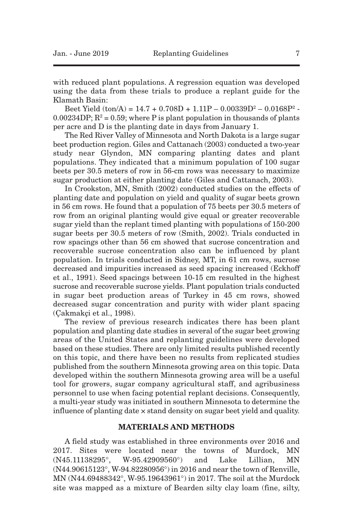with reduced plant populations. A regression equation was developed using the data from these trials to produce a replant guide for the Klamath Basin:

Beet Yield  $(ton/A) = 14.7 + 0.708D + 1.11P - 0.00339D^2 - 0.0168P^2$ 0.00234DP;  $R^2 = 0.59$ ; where P is plant population in thousands of plants per acre and D is the planting date in days from January 1.

The Red River Valley of Minnesota and North Dakota is a large sugar beet production region. Giles and Cattanach (2003) conducted a two-year study near Glyndon, MN comparing planting dates and plant populations. They indicated that a minimum population of 100 sugar beets per 30.5 meters of row in 56-cm rows was necessary to maximize sugar production at either planting date (Giles and Cattanach, 2003).

In Crookston, MN, Smith (2002) conducted studies on the effects of planting date and population on yield and quality of sugar beets grown in 56 cm rows. He found that a population of 75 beets per 30.5 meters of row from an original planting would give equal or greater recoverable sugar yield than the replant timed planting with populations of 150-200 sugar beets per 30.5 meters of row (Smith, 2002). Trials conducted in row spacings other than 56 cm showed that sucrose concentration and recoverable sucrose concentration also can be influenced by plant population. In trials conducted in Sidney, MT, in 61 cm rows, sucrose decreased and impurities increased as seed spacing increased (Eckhoff et al., 1991). Seed spacings between 10-15 cm resulted in the highest sucrose and recoverable sucrose yields. Plant population trials conducted in sugar beet production areas of Turkey in 45 cm rows, showed decreased sugar concentration and purity with wider plant spacing (Çakmakçi et al., 1998).

The review of previous research indicates there has been plant population and planting date studies in several of the sugar beet growing areas of the United States and replanting guidelines were developed based on these studies. There are only limited results published recently on this topic, and there have been no results from replicated studies published from the southern Minnesota growing area on this topic. Data developed within the southern Minnesota growing area will be a useful tool for growers, sugar company agricultural staff, and agribusiness personnel to use when facing potential replant decisions. Consequently, a multi-year study was initiated in southern Minnesota to determine the influence of planting date × stand density on sugar beet yield and quality.

#### **MATERIALS AND METHODS**

A field study was established in three environments over 2016 and 2017. Sites were located near the towns of Murdock, MN (N45.11138295°, W-95.42909560°) and Lake Lillian, MN (N44.90615123°, W-94.82280956°) in 2016 and near the town of Renville, MN (N44.69488342°, W-95.19643961°) in 2017. The soil at the Murdock site was mapped as a mixture of Bearden silty clay loam (fine, silty,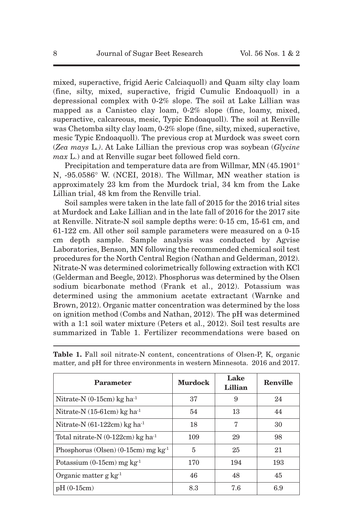mixed, superactive, frigid Aeric Calciaquoll) and Quam silty clay loam (fine, silty, mixed, superactive, frigid Cumulic Endoaquoll) in a depressional complex with 0-2% slope. The soil at Lake Lillian was mapped as a Canisteo clay loam, 0-2% slope (fine, loamy, mixed, superactive, calcareous, mesic, Typic Endoaquoll). The soil at Renville was Chetomba silty clay loam, 0-2% slope (fine, silty, mixed, superactive, mesic Typic Endoaquoll). The previous crop at Murdock was sweet corn (*Zea mays* L*.)*. At Lake Lillian the previous crop was soybean (*Glycine max* L.) and at Renville sugar beet followed field corn.

Precipitation and temperature data are from Willmar, MN (45.1901° N, -95.0586° W. (NCEI, 2018). The Willmar, MN weather station is approximately 23 km from the Murdock trial, 34 km from the Lake Lillian trial, 48 km from the Renville trial.

Soil samples were taken in the late fall of 2015 for the 2016 trial sites at Murdock and Lake Lillian and in the late fall of 2016 for the 2017 site at Renville. Nitrate-N soil sample depths were: 0-15 cm, 15-61 cm, and 61-122 cm. All other soil sample parameters were measured on a 0-15 cm depth sample. Sample analysis was conducted by Agvise Laboratories, Benson, MN following the recommended chemical soil test procedures for the North Central Region (Nathan and Gelderman, 2012). Nitrate-N was determined colorimetrically following extraction with KCl (Gelderman and Beegle, 2012). Phosphorus was determined by the Olsen sodium bicarbonate method (Frank et al., 2012). Potassium was determined using the ammonium acetate extractant (Warnke and Brown, 2012). Organic matter concentration was determined by the loss on ignition method (Combs and Nathan, 2012). The pH was determined with a 1:1 soil water mixture (Peters et al., 2012). Soil test results are summarized in Table 1. Fertilizer recommendations were based on

| Parameter                                       | <b>Murdock</b> | Lake<br>Lillian | Renville |
|-------------------------------------------------|----------------|-----------------|----------|
| Nitrate-N $(0-15cm)$ kg ha <sup>-1</sup>        | 37             | 9               | 24       |
| Nitrate-N $(15-61cm)$ kg ha <sup>-1</sup>       | 54             | 13              | 44       |
| Nitrate-N $(61-122cm)$ kg ha <sup>-1</sup>      | 7<br>18        |                 | 30       |
| Total nitrate-N $(0-122cm)$ kg ha <sup>-1</sup> | 109            | 29              | 98       |
| Phosphorus (Olsen) (0-15cm) mg $kg-1$           | 5              | 25              | 21       |
| Potassium $(0-15cm)$ mg kg <sup>-1</sup>        | 170            | 194             | 193      |
| Organic matter $g \, kg^{-1}$                   | 46             | 48              | 45       |
| $pH(0-15cm)$                                    | 8.3            | 7.6             | 6.9      |

Table 1. Fall soil nitrate-N content, concentrations of Olsen-P, K, organic matter, and pH for three environments in western Minnesota. 2016 and 2017.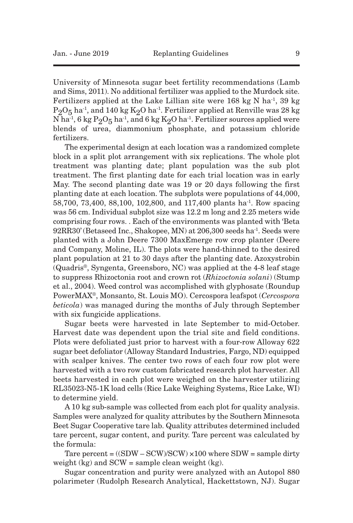University of Minnesota sugar beet fertility recommendations (Lamb and Sims, 2011). No additional fertilizer was applied to the Murdock site. Fertilizers applied at the Lake Lillian site were  $168 \text{ kg N}$  ha<sup>-1</sup>, 39 kg  $P_2O_5$  ha<sup>-1</sup>, and 140 kg K<sub>2</sub>O ha<sup>-1</sup>. Fertilizer applied at Renville was 28 kg N ha $^{\text{-1}}$ , 6 kg  $\text{P}_2\text{O}_5$  ha $^{\text{-1}}$ , and 6 kg  $\text{K}_2\text{O}$  ha $^{\text{-1}}$ . Fertilizer sources applied were blends of urea, diammonium phosphate, and potassium chloride fertilizers.

The experimental design at each location was a randomized complete block in a split plot arrangement with six replications. The whole plot treatment was planting date; plant population was the sub plot treatment. The first planting date for each trial location was in early May. The second planting date was 19 or 20 days following the first planting date at each location. The subplots were populations of 44,000, 58,700, 73,400, 88,100, 102,800, and 117,400 plants ha<sup>-1</sup>. Row spacing was 56 cm. Individual subplot size was 12.2 m long and 2.25 meters wide comprising four rows. . Each of the environments was planted with 'Beta 92RR30' (Betaseed Inc., Shakopee, MN) at 206,300 seeds ha-1 . Seeds were planted with a John Deere 7300 MaxEmerge row crop planter (Deere and Company, Moline, IL). The plots were hand-thinned to the desired plant population at 21 to 30 days after the planting date. Azoxystrobin (Quadris®, Syngenta, Greensboro, NC) was applied at the 4-8 leaf stage to suppress Rhizoctonia root and crown rot (*Rhizoctonia solani*) (Stump et al., 2004). Weed control was accomplished with glyphosate (Roundup PowerMAX®, Monsanto, St. Louis MO). Cercospora leafspot (*Cercospora beticola*) was managed during the months of July through September with six fungicide applications.

Sugar beets were harvested in late September to mid-October. Harvest date was dependent upon the trial site and field conditions. Plots were defoliated just prior to harvest with a four-row Alloway 622 sugar beet defoliator (Alloway Standard Industries, Fargo, ND) equipped with scalper knives. The center two rows of each four row plot were harvested with a two row custom fabricated research plot harvester. All beets harvested in each plot were weighed on the harvester utilizing RL35023-N5-1K load cells (Rice Lake Weighing Systems, Rice Lake, WI) to determine yield.

A 10 kg sub-sample was collected from each plot for quality analysis. Samples were analyzed for quality attributes by the Southern Minnesota Beet Sugar Cooperative tare lab. Quality attributes determined included tare percent, sugar content, and purity. Tare percent was calculated by the formula:

Tare percent =  $((SDW - SCW)/SCW) \times 100$  where  $SDW =$  sample dirty weight  $(kg)$  and SCW = sample clean weight  $(kg)$ .

Sugar concentration and purity were analyzed with an Autopol 880 polarimeter (Rudolph Research Analytical, Hackettstown, NJ). Sugar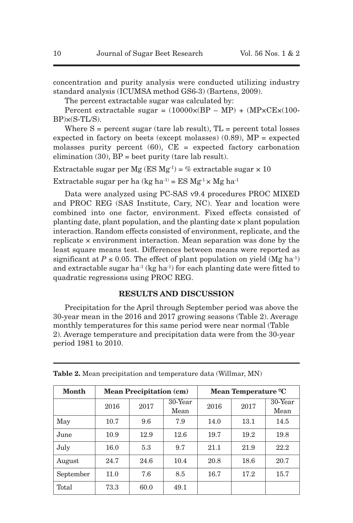concentration and purity analysis were conducted utilizing industry standard analysis (ICUMSA method GS6-3) (Bartens, 2009).

The percent extractable sugar was calculated by:

Percent extractable sugar =  $(10000 \times (BP - MP) + (MP \times CE \times (100 BP$  $\times$  $(S$ -TL $/S)$ .

Where  $S =$  percent sugar (tare lab result),  $TL =$  percent total losses expected in factory on beets (except molasses)  $(0.89)$ , MP = expected molasses purity percent  $(60)$ ,  $CE = expected$  factory carbonation elimination  $(30)$ ,  $BP =$  beet purity (tare lab result).

Extractable sugar per Mg (ES  $Mg^{-1}$ ) = % extractable sugar  $\times$  10

Extractable sugar per ha (kg ha<sup>-1)</sup> = ES  $Mg^{-1} \times Mg$  ha<sup>-1</sup>

Data were analyzed using PC-SAS v9.4 procedures PROC MIXED and PROC REG (SAS Institute, Cary, NC). Year and location were combined into one factor, environment. Fixed effects consisted of planting date, plant population, and the planting date × plant population interaction. Random effects consisted of environment, replicate, and the replicate × environment interaction. Mean separation was done by the least square means test. Differences between means were reported as significant at  $P \le 0.05$ . The effect of plant population on yield (Mg ha<sup>-1)</sup> and extractable sugar ha<sup>-1</sup> (kg ha<sup>-1</sup>) for each planting date were fitted to quadratic regressions using PROC REG.

# **RESULTS AND DISCUSSION**

Precipitation for the April through September period was above the 30-year mean in the 2016 and 2017 growing seasons (Table 2). Average monthly temperatures for this same period were near normal (Table 2). Average temperature and precipitation data were from the 30-year period 1981 to 2010.

| Month     | <b>Mean Precipitation (cm)</b> |      |                    | Mean Temperature <sup>o</sup> C |      |            |  |
|-----------|--------------------------------|------|--------------------|---------------------------------|------|------------|--|
|           | 2016                           | 2017 | $30$ -Year<br>2016 |                                 | 2017 | $30$ -Year |  |
|           |                                |      | Mean               |                                 |      | Mean       |  |
| May       | 10.7                           | 9.6  | 7.9                | 14.0                            | 13.1 | 14.5       |  |
| June      | 10.9                           | 12.9 | 12.6               | 19.7                            | 19.2 | 19.8       |  |
| July      | 16.0                           | 5.3  | 9.7                | 21.1                            | 21.9 | 22.2       |  |
| August    | 24.7                           | 24.6 | 10.4               | 20.8                            | 18.6 | 20.7       |  |
| September | 11.0                           | 7.6  | 8.5                | 16.7                            | 17.2 | 15.7       |  |
| Total     | 73.3                           | 60.0 | 49.1               |                                 |      |            |  |

**Table 2.** Mean precipitation and temperature data (Willmar, MN)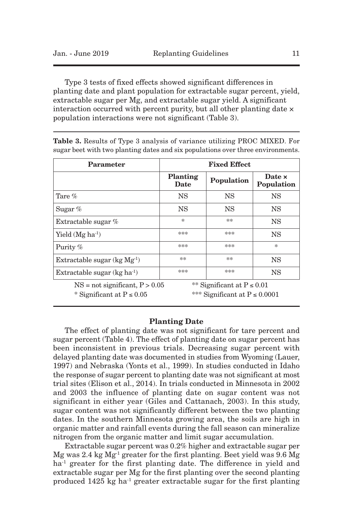Type 3 tests of fixed effects showed significant differences in planting date and plant population for extractable sugar percent, yield, extractable sugar per Mg, and extractable sugar yield. A significant interaction occurred with percent purity, but all other planting date  $\times$ population interactions were not significant (Table 3).

| Parameter                                                         | <b>Fixed Effect</b>     |                                                                     |                             |  |  |  |
|-------------------------------------------------------------------|-------------------------|---------------------------------------------------------------------|-----------------------------|--|--|--|
|                                                                   | <b>Planting</b><br>Date | Population                                                          | Date <b>x</b><br>Population |  |  |  |
| Tare $\%$                                                         | <b>NS</b>               | <b>NS</b>                                                           | <b>NS</b>                   |  |  |  |
| Sugar $%$                                                         | NS                      | NS                                                                  | <b>NS</b>                   |  |  |  |
| Extractable sugar $%$                                             | $\ast$                  | **                                                                  | NS                          |  |  |  |
| Yield $(Mg \text{ ha}^{-1})$                                      | ***                     | ***                                                                 | <b>NS</b>                   |  |  |  |
| Purity %                                                          | ***                     | ***                                                                 | $\ast$                      |  |  |  |
| Extractable sugar $(kg Mg-1)$                                     | **                      | **                                                                  | <b>NS</b>                   |  |  |  |
| Extractable sugar $(kg ha^{-1})$                                  | ***                     | ***                                                                 | NS                          |  |  |  |
| $NS = not significant, P > 0.05$<br>* Significant at $P \le 0.05$ |                         | ** Significant at $P \le 0.01$<br>*** Significant at $P \le 0.0001$ |                             |  |  |  |

**Table 3.** Results of Type 3 analysis of variance utilizing PROC MIXED. For sugar beet with two planting dates and six populations over three environments.

#### **Planting Date**

The effect of planting date was not significant for tare percent and sugar percent (Table 4). The effect of planting date on sugar percent has been inconsistent in previous trials. Decreasing sugar percent with delayed planting date was documented in studies from Wyoming (Lauer, 1997) and Nebraska (Yonts et al., 1999). In studies conducted in Idaho the response of sugar percent to planting date was not significant at most trial sites (Elison et al., 2014). In trials conducted in Minnesota in 2002 and 2003 the influence of planting date on sugar content was not significant in either year (Giles and Cattanach, 2003). In this study, sugar content was not significantly different between the two planting dates. In the southern Minnesota growing area, the soils are high in organic matter and rainfall events during the fall season can mineralize nitrogen from the organic matter and limit sugar accumulation.

Extractable sugar percent was 0.2% higher and extractable sugar per Mg was 2.4 kg  $Mg^{-1}$  greater for the first planting. Beet yield was 9.6 Mg ha<sup>-1</sup> greater for the first planting date. The difference in yield and extractable sugar per Mg for the first planting over the second planting produced 1425 kg ha-1 greater extractable sugar for the first planting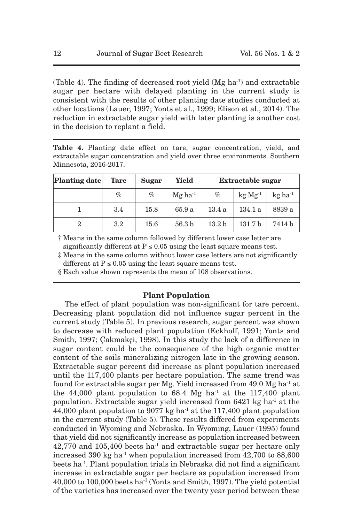(Table 4). The finding of decreased root yield  $(Mg \, ha^{-1})$  and extractable sugar per hectare with delayed planting in the current study is consistent with the results of other planting date studies conducted at other locations (Lauer, 1997; Yonts et al., 1999; Elison et al., 2014). The reduction in extractable sugar yield with later planting is another cost in the decision to replant a field.

**Table 4.** Planting date effect on tare, sugar concentration, yield, and extractable sugar concentration and yield over three environments. Southern Minnesota, 2016-2017.

| <b>Planting date</b> | Tare    | <b>Sugar</b> | Yield                 | Extractable sugar |                    |                            |
|----------------------|---------|--------------|-----------------------|-------------------|--------------------|----------------------------|
|                      | %       | $\%$         | $Mg$ ha <sup>-1</sup> | $\%$              | $kg Mg^{-1}$       | $k\sigma$ ha <sup>-1</sup> |
|                      | 3.4     | 15.8         | 65.9 a                | 13.4a             | 134.1 a            | 8839 a                     |
| 2                    | $3.2\,$ | 15.6         | 56.3 <sub>b</sub>     | 13.2 <sub>b</sub> | 131.7 <sub>b</sub> | 7414 b                     |

† Means in the same column followed by different lower case letter are significantly different at  $P \le 0.05$  using the least square means test.

‡ Means in the same column without lower case letters are not significantly different at  $P \le 0.05$  using the least square means test.

§ Each value shown represents the mean of 108 observations.

# **Plant Population**

The effect of plant population was non-significant for tare percent. Decreasing plant population did not influence sugar percent in the current study (Table 5). In previous research, sugar percent was shown to decrease with reduced plant population (Eckhoff, 1991; Yonts and Smith, 1997; Çakmakçi, 1998). In this study the lack of a difference in sugar content could be the consequence of the high organic matter content of the soils mineralizing nitrogen late in the growing season. Extractable sugar percent did increase as plant population increased until the 117,400 plants per hectare population. The same trend was found for extractable sugar per Mg. Yield increased from  $49.0$  Mg ha<sup>-1</sup> at the 44,000 plant population to  $68.4$  Mg ha<sup>-1</sup> at the 117,400 plant population. Extractable sugar yield increased from  $6421$  kg ha<sup>-1</sup> at the 44,000 plant population to 9077 kg ha-1 at the 117,400 plant population in the current study (Table 5). These results differed from experiments conducted in Wyoming and Nebraska. In Wyoming, Lauer (1995) found that yield did not significantly increase as population increased between 42,770 and 105,400 beets ha-1 and extractable sugar per hectare only increased 390 kg ha<sup>-1</sup> when population increased from  $42,700$  to  $88,600$ beets ha-1. Plant population trials in Nebraska did not find a significant increase in extractable sugar per hectare as population increased from 40,000 to 100,000 beets ha-1 (Yonts and Smith, 1997). The yield potential of the varieties has increased over the twenty year period between these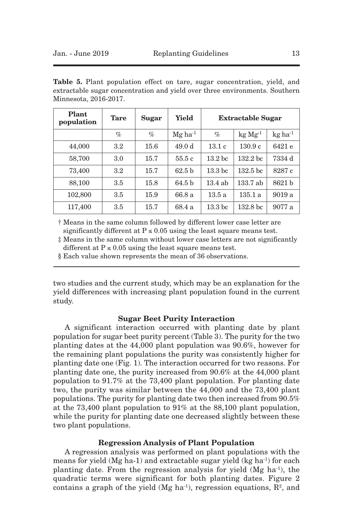|  |                       |  |  | <b>Table 5.</b> Plant population effect on tare, sugar concentration, yield, and |  |
|--|-----------------------|--|--|----------------------------------------------------------------------------------|--|
|  |                       |  |  | extractable sugar concentration and yield over three environments. Southern      |  |
|  | Minnesota, 2016-2017. |  |  |                                                                                  |  |

| Plant<br>population | <b>Tare</b>      | Sugar | Yield                 | <b>Extractable Sugar</b> |                     |                       |
|---------------------|------------------|-------|-----------------------|--------------------------|---------------------|-----------------------|
|                     | $\%$             | $\%$  | $Mg$ ha <sup>-1</sup> | $\%$                     | $kg Mg^{-1}$        | $kg$ ha <sup>-1</sup> |
| 44,000              | $3.2\,$          | 15.6  | 49.0 d                | 13.1c                    | 130.9c              | 6421 e                |
| 58,700              | 3.0              | 15.7  | 55.5c                 | 13.2 <sub>bc</sub>       | 132.2 <sub>bc</sub> | 7334 d                |
| 73,400              | $3.2\phantom{0}$ | 15.7  | 62.5 <sub>b</sub>     | 13.3 <sub>bc</sub>       | 132.5 <sub>bc</sub> | 8287 c                |
| 88,100              | 3.5              | 15.8  | 64.5 <sub>b</sub>     | $13.4$ ab                | 133.7ab             | 8621 b                |
| 102,800             | 3.5              | 15.9  | 66.8 a                | 13.5a                    | 135.1a              | 9019a                 |
| 117,400             | 3.5              | 15.7  | 68.4 a                | 13.3 <sub>bc</sub>       | 132.8 <sub>bc</sub> | 9077 a                |

† Means in the same column followed by different lower case letter are significantly different at  $P \le 0.05$  using the least square means test.

‡ Means in the same column without lower case letters are not significantly different at  $P \le 0.05$  using the least square means test.

§ Each value shown represents the mean of 36 observations.

two studies and the current study, which may be an explanation for the yield differences with increasing plant population found in the current study.

## **Sugar Beet Purity Interaction**

A significant interaction occurred with planting date by plant population for sugar beet purity percent (Table 3). The purity for the two planting dates at the 44,000 plant population was 90.6%, however for the remaining plant populations the purity was consistently higher for planting date one (Fig. 1). The interaction occurred for two reasons. For planting date one, the purity increased from 90.6% at the 44,000 plant population to 91.7% at the 73,400 plant population. For planting date two, the purity was similar between the 44,000 and the 73,400 plant populations. The purity for planting date two then increased from 90.5% at the 73,400 plant population to 91% at the 88,100 plant population, while the purity for planting date one decreased slightly between these two plant populations.

# **Regression Analysis of Plant Population**

A regression analysis was performed on plant populations with the means for yield (Mg ha-1) and extractable sugar yield (kg ha-1) for each planting date. From the regression analysis for yield (Mg ha-1), the quadratic terms were significant for both planting dates. Figure 2 contains a graph of the yield (Mg ha<sup>-1</sup>), regression equations,  $\mathbb{R}^2$ , and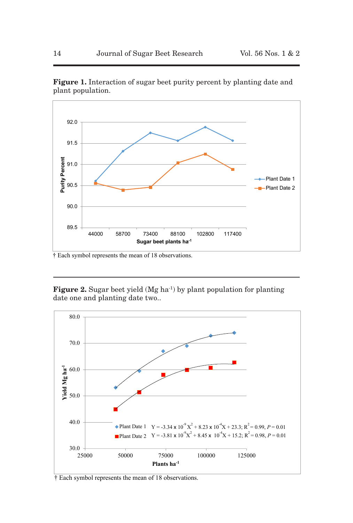

**Figure 1.** Interaction of sugar beet purity percent by planting date and plant population.

 $\dagger$  Each symbol represents the mean of 18 observations.

**Figure 2.** Sugar beet yield (Mg ha<sup>-1</sup>) by plant population for planting date one and planting date two..



 $\dagger$  Each symbol represents the mean of 18 observations.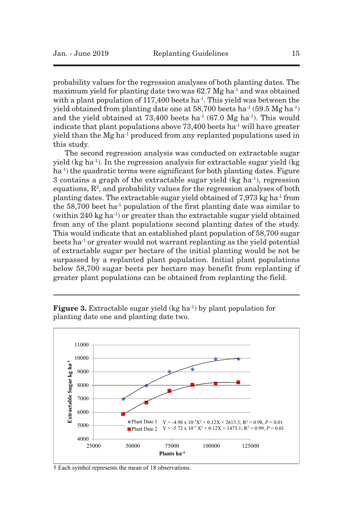probability values for the regression analyses of both planting dates. The maximum yield for planting date two was  $62.7 \text{ Mg}$  ha<sup>-1</sup> and was obtained with a plant population of  $117,400$  beets ha<sup>-1</sup>. This yield was between the yield obtained from planting date one at  $58,700$  beets ha<sup>-1</sup> ( $59.5$  Mg ha<sup>-1</sup>) and the yield obtained at  $73,400$  beets ha<sup>-1</sup> (67.0 Mg ha<sup>-1</sup>). This would indicate that plant populations above  $73,400$  beets ha<sup>-1</sup> will have greater yield than the Mg ha-1 produced from any replanted populations used in this study.

The second regression analysis was conducted on extractable sugar yield (kg ha-1). In the regression analysis for extractable sugar yield (kg ha-1 ) the quadratic terms were significant for both planting dates. Figure 3 contains a graph of the extractable sugar yield  $(kg ha<sup>-1</sup>)$ , regression equations,  $\mathbb{R}^2$ , and probability values for the regression analyses of both planting dates. The extractable sugar yield obtained of 7,973 kg ha-1 from the  $58,700$  beet ha<sup>-1</sup> population of the first planting date was similar to (within 240 kg ha<sup>-1</sup>) or greater than the extractable sugar yield obtained from any of the plant populations second planting dates of the study. This would indicate that an established plant population of 58,700 sugar beets ha<sup>-1</sup> or greater would not warrant replanting as the yield potential of extractable sugar per hectare of the initial planting would be not be surpassed by a replanted plant population. Initial plant populations below 58,700 sugar beets per hectare may benefit from replanting if greater plant populations can be obtained from replanting the field.

**Figure 3.** Extractable sugar yield (kg ha-1) by plant population for planting date one and planting date two.



 $\dagger$  Each symbol represents the mean of 18 observations.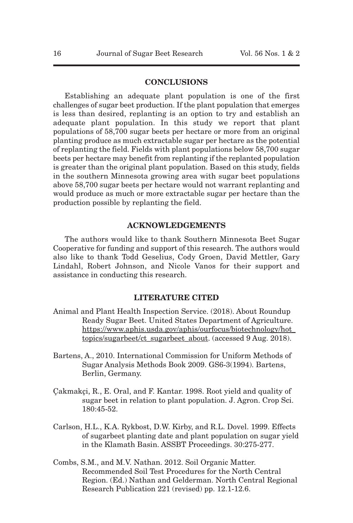# **CONCLUSIONS**

Establishing an adequate plant population is one of the first challenges of sugar beet production. If the plant population that emerges is less than desired, replanting is an option to try and establish an adequate plant population. In this study we report that plant populations of 58,700 sugar beets per hectare or more from an original planting produce as much extractable sugar per hectare as the potential of replanting the field. Fields with plant populations below 58,700 sugar beets per hectare may benefit from replanting if the replanted population is greater than the original plant population. Based on this study, fields in the southern Minnesota growing area with sugar beet populations above 58,700 sugar beets per hectare would not warrant replanting and would produce as much or more extractable sugar per hectare than the production possible by replanting the field.

## **ACKNOWLEDGEMENTS**

The authors would like to thank Southern Minnesota Beet Sugar Cooperative for funding and support of this research. The authors would also like to thank Todd Geselius, Cody Groen, David Mettler, Gary Lindahl, Robert Johnson, and Nicole Vanos for their support and assistance in conducting this research.

## **LITERATURE CITED**

- Animal and Plant Health Inspection Service. (2018). About Roundup Ready Sugar Beet. United States Department of Agriculture. https://www.aphis.usda.gov/aphis/ourfocus/biotechnology/hot\_ topics/sugarbeet/ct\_sugarbeet\_about. (accessed 9 Aug. 2018).
- Bartens, A., 2010. International Commission for Uniform Methods of Sugar Analysis Methods Book 2009. GS6-3(1994). Bartens, Berlin, Germany.
- Çakmakçi, R., E. Oral, and F. Kantar. 1998. Root yield and quality of sugar beet in relation to plant population. J. Agron. Crop Sci. 180:45-52.
- Carlson, H.L., K.A. Rykbost, D.W. Kirby, and R.L. Dovel. 1999. Effects of sugarbeet planting date and plant population on sugar yield in the Klamath Basin. ASSBT Proceedings. 30:275-277.
- Combs, S.M., and M.V. Nathan. 2012. Soil Organic Matter. Recommended Soil Test Procedures for the North Central Region. (Ed.) Nathan and Gelderman. North Central Regional Research Publication 221 (revised) pp. 12.1-12.6.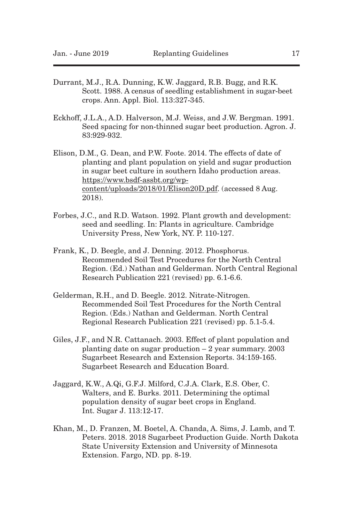- Durrant, M.J., R.A. Dunning, K.W. Jaggard, R.B. Bugg, and R.K. Scott. 1988. A census of seedling establishment in sugar-beet crops. Ann. Appl. Biol. 113:327-345.
- Eckhoff, J.L.A., A.D. Halverson, M.J. Weiss, and J.W. Bergman. 1991. Seed spacing for non-thinned sugar beet production. Agron. J. 83:929-932.
- Elison, D.M., G. Dean, and P.W. Foote. 2014. The effects of date of planting and plant population on yield and sugar production in sugar beet culture in southern Idaho production areas. https://www.bsdf-assbt.org/wpcontent/uploads/2018/01/Elison20D.pdf. (accessed 8 Aug. 2018).
- Forbes, J.C., and R.D. Watson. 1992. Plant growth and development: seed and seedling. In: Plants in agriculture. Cambridge University Press, New York, NY. P. 110-127.
- Frank, K., D. Beegle, and J. Denning. 2012. Phosphorus. Recommended Soil Test Procedures for the North Central Region. (Ed.) Nathan and Gelderman. North Central Regional Research Publication 221 (revised) pp. 6.1-6.6.
- Gelderman, R.H., and D. Beegle. 2012. Nitrate-Nitrogen. Recommended Soil Test Procedures for the North Central Region. (Eds.) Nathan and Gelderman. North Central Regional Research Publication 221 (revised) pp. 5.1-5.4.
- Giles, J.F., and N.R. Cattanach. 2003. Effect of plant population and planting date on sugar production – 2 year summary. 2003 Sugarbeet Research and Extension Reports. 34:159-165. Sugarbeet Research and Education Board.
- Jaggard, K.W., A.Qi, G.F.J. Milford, C.J.A. Clark, E.S. Ober, C. Walters, and E. Burks. 2011. Determining the optimal population density of sugar beet crops in England. Int. Sugar J. 113:12-17.
- Khan, M., D. Franzen, M. Boetel, A. Chanda, A. Sims, J. Lamb, and T. Peters. 2018. 2018 Sugarbeet Production Guide. North Dakota State University Extension and University of Minnesota Extension. Fargo, ND. pp. 8-19.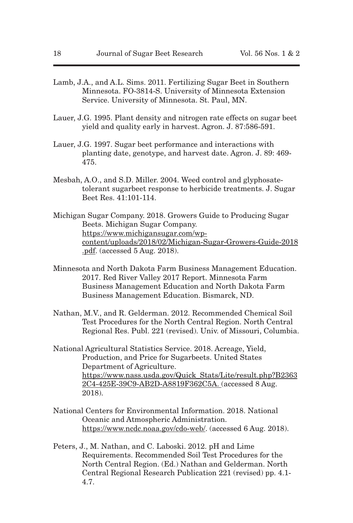- Lamb, J.A., and A.L. Sims. 2011. Fertilizing Sugar Beet in Southern Minnesota. FO-3814-S. University of Minnesota Extension Service. University of Minnesota. St. Paul, MN.
- Lauer, J.G. 1995. Plant density and nitrogen rate effects on sugar beet yield and quality early in harvest. Agron. J. 87:586-591.
- Lauer, J.G. 1997. Sugar beet performance and interactions with planting date, genotype, and harvest date. Agron. J. 89: 469- 475.
- Mesbah, A.O., and S.D. Miller. 2004. Weed control and glyphosatetolerant sugarbeet response to herbicide treatments. J. Sugar Beet Res. 41:101-114.
- Michigan Sugar Company. 2018. Growers Guide to Producing Sugar Beets. Michigan Sugar Company. https://www.michigansugar.com/wpcontent/uploads/2018/02/Michigan-Sugar-Growers-Guide-2018 .pdf. (accessed 5 Aug. 2018).
- Minnesota and North Dakota Farm Business Management Education. 2017. Red River Valley 2017 Report. Minnesota Farm Business Management Education and North Dakota Farm Business Management Education. Bismarck, ND.
- Nathan, M.V., and R. Gelderman. 2012. Recommended Chemical Soil Test Procedures for the North Central Region. North Central Regional Res. Publ. 221 (revised). Univ. of Missouri, Columbia.
- National Agricultural Statistics Service. 2018. Acreage, Yield, Production, and Price for Sugarbeets. United States Department of Agriculture. https://www.nass.usda.gov/Quick\_Stats/Lite/result.php?B2363 2C4-425E-39C9-AB2D-A8819F362C5A. (accessed 8 Aug. 2018).
- National Centers for Environmental Information. 2018. National Oceanic and Atmospheric Administration. https://www.ncdc.noaa.gov/cdo-web/. (accessed 6 Aug. 2018).
- Peters, J., M. Nathan, and C. Laboski. 2012. pH and Lime Requirements. Recommended Soil Test Procedures for the North Central Region. (Ed.) Nathan and Gelderman. North Central Regional Research Publication 221 (revised) pp. 4.1- 4.7.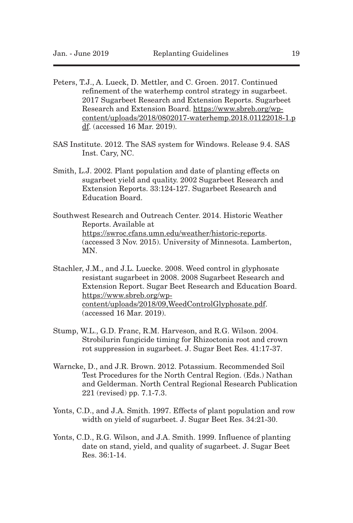- Peters, T.J., A. Lueck, D. Mettler, and C. Groen. 2017. Continued refinement of the waterhemp control strategy in sugarbeet. 2017 Sugarbeet Research and Extension Reports. Sugarbeet Research and Extension Board. https://www.sbreb.org/wpcontent/uploads/2018/0802017-waterhemp.2018.01122018-1.p df. (accessed 16 Mar. 2019).
- SAS Institute. 2012. The SAS system for Windows. Release 9.4. SAS Inst. Cary, NC.
- Smith, L.J. 2002. Plant population and date of planting effects on sugarbeet yield and quality. 2002 Sugarbeet Research and Extension Reports. 33:124-127. Sugarbeet Research and Education Board.
- Southwest Research and Outreach Center. 2014. Historic Weather Reports. Available at https://swroc.cfans.umn.edu/weather/historic-reports. (accessed 3 Nov. 2015). University of Minnesota. Lamberton, MN.
- Stachler, J.M., and J.L. Luecke. 2008. Weed control in glyphosate resistant sugarbeet in 2008. 2008 Sugarbeet Research and Extension Report. Sugar Beet Research and Education Board. https://www.sbreb.org/wpcontent/uploads/2018/09,WeedControlGlyphosate.pdf. (accessed 16 Mar. 2019).
- Stump, W.L., G.D. Franc, R.M. Harveson, and R.G. Wilson. 2004. Strobilurin fungicide timing for Rhizoctonia root and crown rot suppression in sugarbeet. J. Sugar Beet Res. 41:17-37.
- Warncke, D., and J.R. Brown. 2012. Potassium. Recommended Soil Test Procedures for the North Central Region. (Eds.) Nathan and Gelderman. North Central Regional Research Publication 221 (revised) pp. 7.1-7.3.
- Yonts, C.D., and J.A. Smith. 1997. Effects of plant population and row width on yield of sugarbeet. J. Sugar Beet Res. 34:21-30.
- Yonts, C.D., R.G. Wilson, and J.A. Smith. 1999. Influence of planting date on stand, yield, and quality of sugarbeet. J. Sugar Beet Res. 36:1-14.